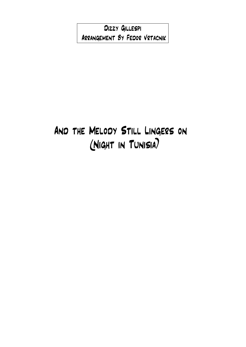Dizzy Gillespi Arrangement By Fedor Vrtacnik

## And the Melody Still Lingers on (Night in Tunisia)